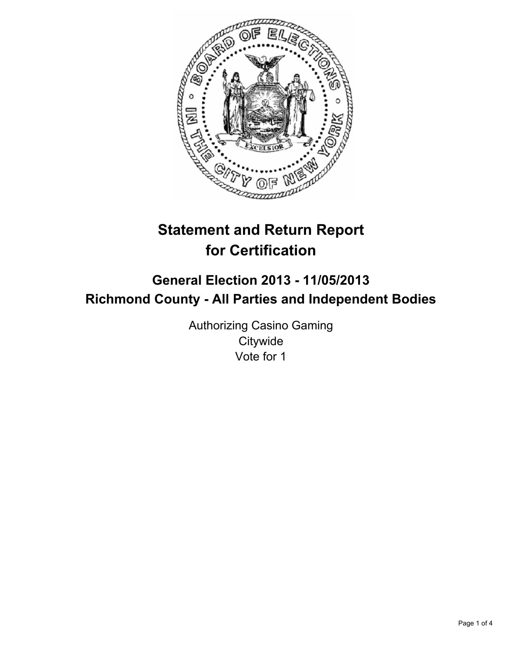

# **Statement and Return Report for Certification**

## **General Election 2013 - 11/05/2013 Richmond County - All Parties and Independent Bodies**

Authorizing Casino Gaming **Citywide** Vote for 1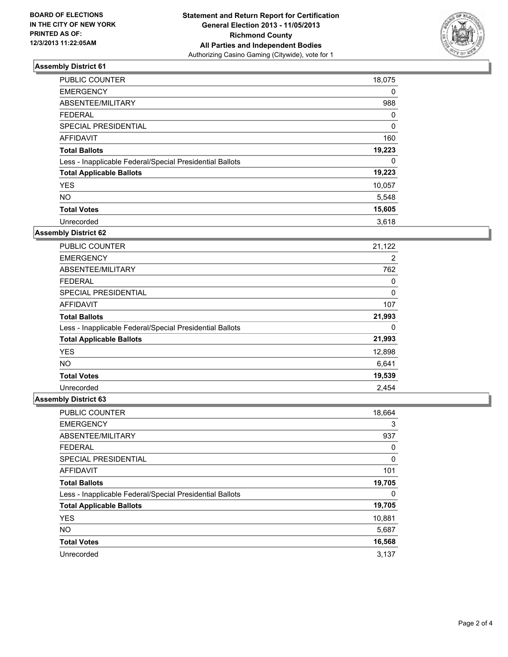

### **Assembly District 61**

| <b>PUBLIC COUNTER</b>                                    | 18,075 |
|----------------------------------------------------------|--------|
| <b>EMERGENCY</b>                                         | 0      |
| ABSENTEE/MILITARY                                        | 988    |
| <b>FEDERAL</b>                                           | 0      |
| SPECIAL PRESIDENTIAL                                     | 0      |
| <b>AFFIDAVIT</b>                                         | 160    |
| <b>Total Ballots</b>                                     | 19,223 |
| Less - Inapplicable Federal/Special Presidential Ballots | 0      |
| <b>Total Applicable Ballots</b>                          | 19,223 |
| <b>YES</b>                                               | 10,057 |
| <b>NO</b>                                                | 5,548  |
| <b>Total Votes</b>                                       | 15,605 |
| Unrecorded                                               | 3,618  |

#### **Assembly District 62**

| PUBLIC COUNTER                                           | 21,122 |
|----------------------------------------------------------|--------|
| <b>EMERGENCY</b>                                         | 2      |
| ABSENTEE/MILITARY                                        | 762    |
| <b>FEDERAL</b>                                           | 0      |
| <b>SPECIAL PRESIDENTIAL</b>                              | 0      |
| AFFIDAVIT                                                | 107    |
| <b>Total Ballots</b>                                     | 21,993 |
| Less - Inapplicable Federal/Special Presidential Ballots | 0      |
| <b>Total Applicable Ballots</b>                          | 21,993 |
| <b>YES</b>                                               | 12,898 |
| <b>NO</b>                                                | 6,641  |
| <b>Total Votes</b>                                       | 19,539 |
| Unrecorded                                               | 2.454  |

#### **Assembly District 63**

| PUBLIC COUNTER                                           | 18,664 |
|----------------------------------------------------------|--------|
| <b>EMERGENCY</b>                                         | 3      |
| ABSENTEE/MILITARY                                        | 937    |
| <b>FEDERAL</b>                                           | 0      |
| SPECIAL PRESIDENTIAL                                     | 0      |
| AFFIDAVIT                                                | 101    |
| <b>Total Ballots</b>                                     | 19,705 |
| Less - Inapplicable Federal/Special Presidential Ballots | 0      |
| <b>Total Applicable Ballots</b>                          | 19,705 |
| <b>YES</b>                                               | 10,881 |
| <b>NO</b>                                                | 5,687  |
| <b>Total Votes</b>                                       | 16,568 |
| Unrecorded                                               | 3,137  |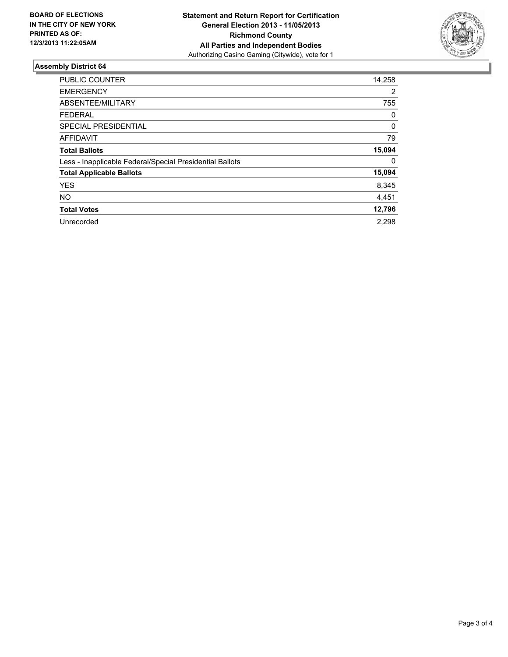

#### **Assembly District 64**

| PUBLIC COUNTER                                           | 14,258 |
|----------------------------------------------------------|--------|
| <b>EMERGENCY</b>                                         | 2      |
| ABSENTEE/MILITARY                                        | 755    |
| <b>FEDERAL</b>                                           | 0      |
| <b>SPECIAL PRESIDENTIAL</b>                              | 0      |
| <b>AFFIDAVIT</b>                                         | 79     |
| <b>Total Ballots</b>                                     | 15,094 |
| Less - Inapplicable Federal/Special Presidential Ballots | 0      |
| <b>Total Applicable Ballots</b>                          | 15,094 |
| <b>YES</b>                                               | 8,345  |
| <b>NO</b>                                                | 4,451  |
| <b>Total Votes</b>                                       | 12,796 |
| Unrecorded                                               | 2,298  |